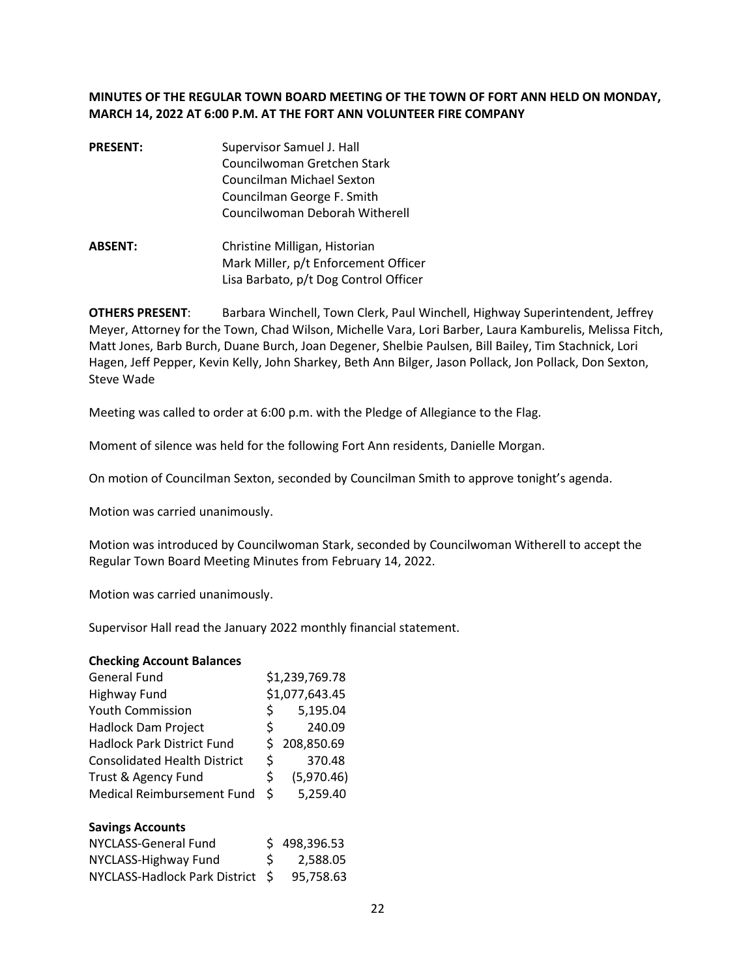## **MINUTES OF THE REGULAR TOWN BOARD MEETING OF THE TOWN OF FORT ANN HELD ON MONDAY, MARCH 14, 2022 AT 6:00 P.M. AT THE FORT ANN VOLUNTEER FIRE COMPANY**

- **PRESENT:** Supervisor Samuel J. Hall Councilwoman Gretchen Stark Councilman Michael Sexton Councilman George F. Smith Councilwoman Deborah Witherell
- **ABSENT:** Christine Milligan, Historian Mark Miller, p/t Enforcement Officer Lisa Barbato, p/t Dog Control Officer

**OTHERS PRESENT**: Barbara Winchell, Town Clerk, Paul Winchell, Highway Superintendent, Jeffrey Meyer, Attorney for the Town, Chad Wilson, Michelle Vara, Lori Barber, Laura Kamburelis, Melissa Fitch, Matt Jones, Barb Burch, Duane Burch, Joan Degener, Shelbie Paulsen, Bill Bailey, Tim Stachnick, Lori Hagen, Jeff Pepper, Kevin Kelly, John Sharkey, Beth Ann Bilger, Jason Pollack, Jon Pollack, Don Sexton, Steve Wade

Meeting was called to order at 6:00 p.m. with the Pledge of Allegiance to the Flag.

Moment of silence was held for the following Fort Ann residents, Danielle Morgan.

On motion of Councilman Sexton, seconded by Councilman Smith to approve tonight's agenda.

Motion was carried unanimously.

Motion was introduced by Councilwoman Stark, seconded by Councilwoman Witherell to accept the Regular Town Board Meeting Minutes from February 14, 2022.

Motion was carried unanimously.

Supervisor Hall read the January 2022 monthly financial statement.

#### **Checking Account Balances**

|    | \$1,239,769.78 |
|----|----------------|
|    | \$1,077,643.45 |
| \$ | 5,195.04       |
| Ś. | 240.09         |
| S  | 208,850.69     |
| \$ | 370.48         |
| \$ | (5,970.46)     |
| Ŝ. | 5,259.40       |
|    |                |

#### **Savings Accounts**

| NYCLASS-General Fund             |     | \$498,396.53 |
|----------------------------------|-----|--------------|
| NYCLASS-Highway Fund             | S – | 2,588.05     |
| NYCLASS-Hadlock Park District \$ |     | 95.758.63    |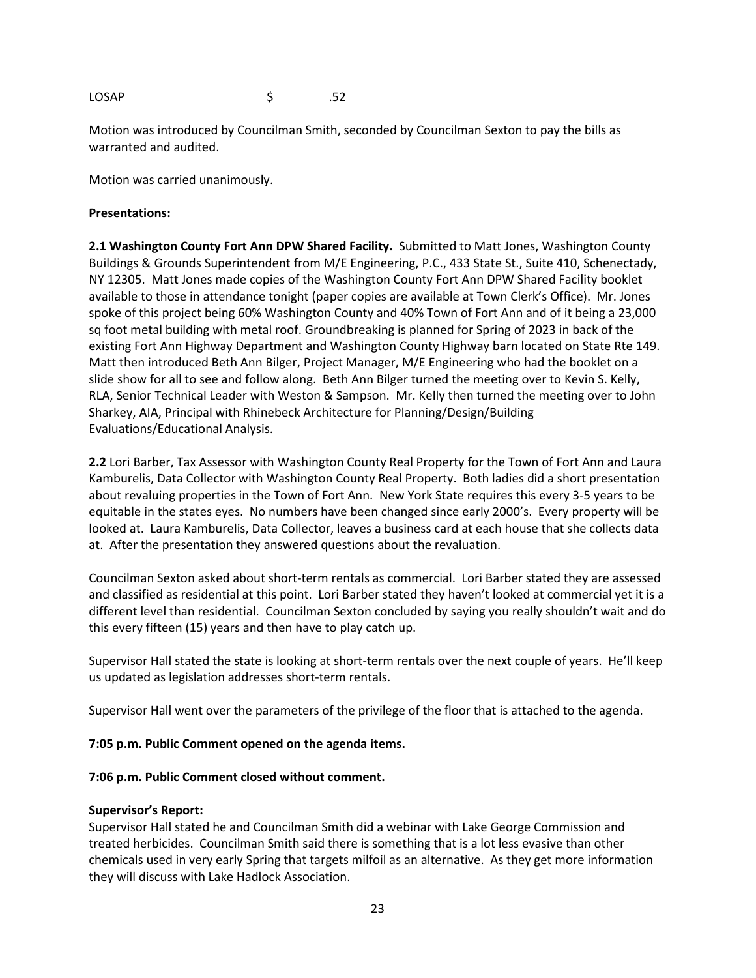LOSAP \$ .52

Motion was introduced by Councilman Smith, seconded by Councilman Sexton to pay the bills as warranted and audited.

Motion was carried unanimously.

### **Presentations:**

**2.1 Washington County Fort Ann DPW Shared Facility.** Submitted to Matt Jones, Washington County Buildings & Grounds Superintendent from M/E Engineering, P.C., 433 State St., Suite 410, Schenectady, NY 12305. Matt Jones made copies of the Washington County Fort Ann DPW Shared Facility booklet available to those in attendance tonight (paper copies are available at Town Clerk's Office). Mr. Jones spoke of this project being 60% Washington County and 40% Town of Fort Ann and of it being a 23,000 sq foot metal building with metal roof. Groundbreaking is planned for Spring of 2023 in back of the existing Fort Ann Highway Department and Washington County Highway barn located on State Rte 149. Matt then introduced Beth Ann Bilger, Project Manager, M/E Engineering who had the booklet on a slide show for all to see and follow along. Beth Ann Bilger turned the meeting over to Kevin S. Kelly, RLA, Senior Technical Leader with Weston & Sampson. Mr. Kelly then turned the meeting over to John Sharkey, AIA, Principal with Rhinebeck Architecture for Planning/Design/Building Evaluations/Educational Analysis.

**2.2** Lori Barber, Tax Assessor with Washington County Real Property for the Town of Fort Ann and Laura Kamburelis, Data Collector with Washington County Real Property. Both ladies did a short presentation about revaluing properties in the Town of Fort Ann. New York State requires this every 3-5 years to be equitable in the states eyes. No numbers have been changed since early 2000's. Every property will be looked at. Laura Kamburelis, Data Collector, leaves a business card at each house that she collects data at. After the presentation they answered questions about the revaluation.

Councilman Sexton asked about short-term rentals as commercial. Lori Barber stated they are assessed and classified as residential at this point. Lori Barber stated they haven't looked at commercial yet it is a different level than residential. Councilman Sexton concluded by saying you really shouldn't wait and do this every fifteen (15) years and then have to play catch up.

Supervisor Hall stated the state is looking at short-term rentals over the next couple of years. He'll keep us updated as legislation addresses short-term rentals.

Supervisor Hall went over the parameters of the privilege of the floor that is attached to the agenda.

### **7:05 p.m. Public Comment opened on the agenda items.**

#### **7:06 p.m. Public Comment closed without comment.**

#### **Supervisor's Report:**

Supervisor Hall stated he and Councilman Smith did a webinar with Lake George Commission and treated herbicides. Councilman Smith said there is something that is a lot less evasive than other chemicals used in very early Spring that targets milfoil as an alternative. As they get more information they will discuss with Lake Hadlock Association.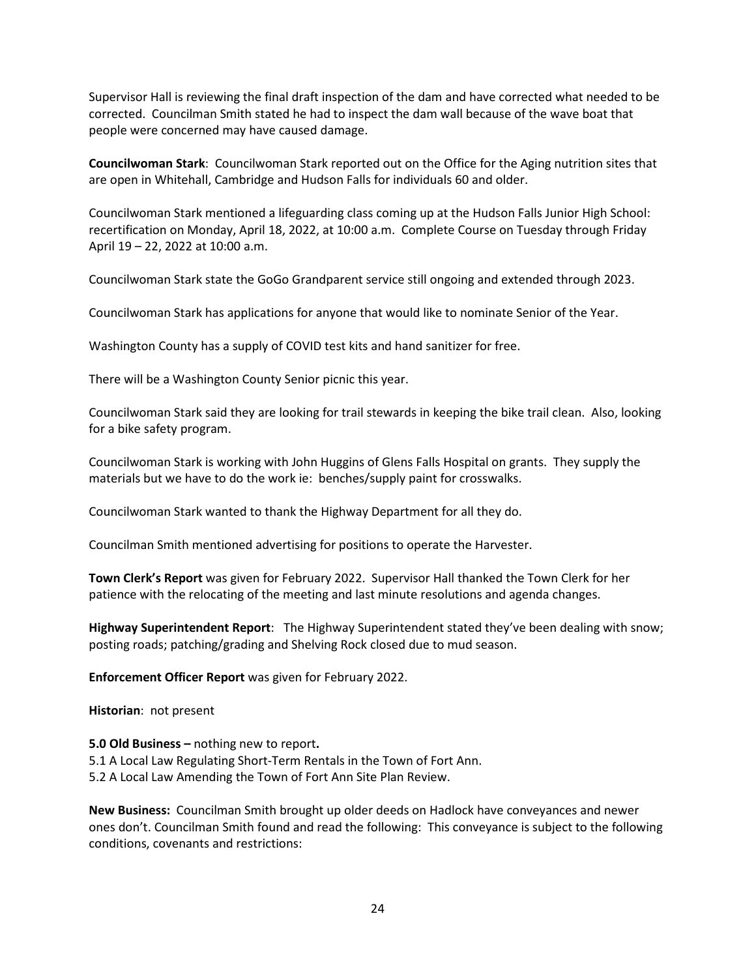Supervisor Hall is reviewing the final draft inspection of the dam and have corrected what needed to be corrected. Councilman Smith stated he had to inspect the dam wall because of the wave boat that people were concerned may have caused damage.

**Councilwoman Stark**: Councilwoman Stark reported out on the Office for the Aging nutrition sites that are open in Whitehall, Cambridge and Hudson Falls for individuals 60 and older.

Councilwoman Stark mentioned a lifeguarding class coming up at the Hudson Falls Junior High School: recertification on Monday, April 18, 2022, at 10:00 a.m. Complete Course on Tuesday through Friday April 19 – 22, 2022 at 10:00 a.m.

Councilwoman Stark state the GoGo Grandparent service still ongoing and extended through 2023.

Councilwoman Stark has applications for anyone that would like to nominate Senior of the Year.

Washington County has a supply of COVID test kits and hand sanitizer for free.

There will be a Washington County Senior picnic this year.

Councilwoman Stark said they are looking for trail stewards in keeping the bike trail clean. Also, looking for a bike safety program.

Councilwoman Stark is working with John Huggins of Glens Falls Hospital on grants. They supply the materials but we have to do the work ie: benches/supply paint for crosswalks.

Councilwoman Stark wanted to thank the Highway Department for all they do.

Councilman Smith mentioned advertising for positions to operate the Harvester.

**Town Clerk's Report** was given for February 2022. Supervisor Hall thanked the Town Clerk for her patience with the relocating of the meeting and last minute resolutions and agenda changes.

**Highway Superintendent Report**: The Highway Superintendent stated they've been dealing with snow; posting roads; patching/grading and Shelving Rock closed due to mud season.

**Enforcement Officer Report** was given for February 2022.

**Historian**: not present

**5.0 Old Business –** nothing new to report**.**  5.1 A Local Law Regulating Short-Term Rentals in the Town of Fort Ann. 5.2 A Local Law Amending the Town of Fort Ann Site Plan Review.

**New Business:** Councilman Smith brought up older deeds on Hadlock have conveyances and newer ones don't. Councilman Smith found and read the following: This conveyance is subject to the following conditions, covenants and restrictions: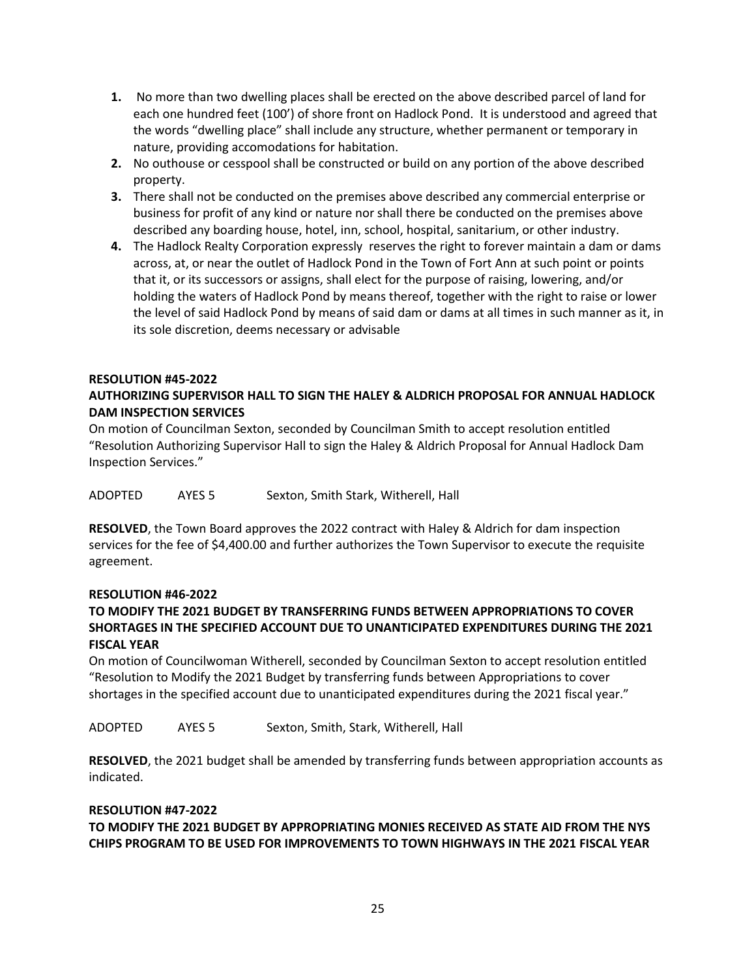- **1.** No more than two dwelling places shall be erected on the above described parcel of land for each one hundred feet (100') of shore front on Hadlock Pond. It is understood and agreed that the words "dwelling place" shall include any structure, whether permanent or temporary in nature, providing accomodations for habitation.
- **2.** No outhouse or cesspool shall be constructed or build on any portion of the above described property.
- **3.** There shall not be conducted on the premises above described any commercial enterprise or business for profit of any kind or nature nor shall there be conducted on the premises above described any boarding house, hotel, inn, school, hospital, sanitarium, or other industry.
- **4.** The Hadlock Realty Corporation expressly reserves the right to forever maintain a dam or dams across, at, or near the outlet of Hadlock Pond in the Town of Fort Ann at such point or points that it, or its successors or assigns, shall elect for the purpose of raising, lowering, and/or holding the waters of Hadlock Pond by means thereof, together with the right to raise or lower the level of said Hadlock Pond by means of said dam or dams at all times in such manner as it, in its sole discretion, deems necessary or advisable

## **RESOLUTION #45-2022**

# **AUTHORIZING SUPERVISOR HALL TO SIGN THE HALEY & ALDRICH PROPOSAL FOR ANNUAL HADLOCK DAM INSPECTION SERVICES**

On motion of Councilman Sexton, seconded by Councilman Smith to accept resolution entitled "Resolution Authorizing Supervisor Hall to sign the Haley & Aldrich Proposal for Annual Hadlock Dam Inspection Services."

ADOPTED AYES 5 Sexton, Smith Stark, Witherell, Hall

**RESOLVED**, the Town Board approves the 2022 contract with Haley & Aldrich for dam inspection services for the fee of \$4,400.00 and further authorizes the Town Supervisor to execute the requisite agreement.

### **RESOLUTION #46-2022**

# **TO MODIFY THE 2021 BUDGET BY TRANSFERRING FUNDS BETWEEN APPROPRIATIONS TO COVER SHORTAGES IN THE SPECIFIED ACCOUNT DUE TO UNANTICIPATED EXPENDITURES DURING THE 2021 FISCAL YEAR**

On motion of Councilwoman Witherell, seconded by Councilman Sexton to accept resolution entitled "Resolution to Modify the 2021 Budget by transferring funds between Appropriations to cover shortages in the specified account due to unanticipated expenditures during the 2021 fiscal year."

ADOPTED AYES 5 Sexton, Smith, Stark, Witherell, Hall

**RESOLVED**, the 2021 budget shall be amended by transferring funds between appropriation accounts as indicated.

### **RESOLUTION #47-2022**

# **TO MODIFY THE 2021 BUDGET BY APPROPRIATING MONIES RECEIVED AS STATE AID FROM THE NYS CHIPS PROGRAM TO BE USED FOR IMPROVEMENTS TO TOWN HIGHWAYS IN THE 2021 FISCAL YEAR**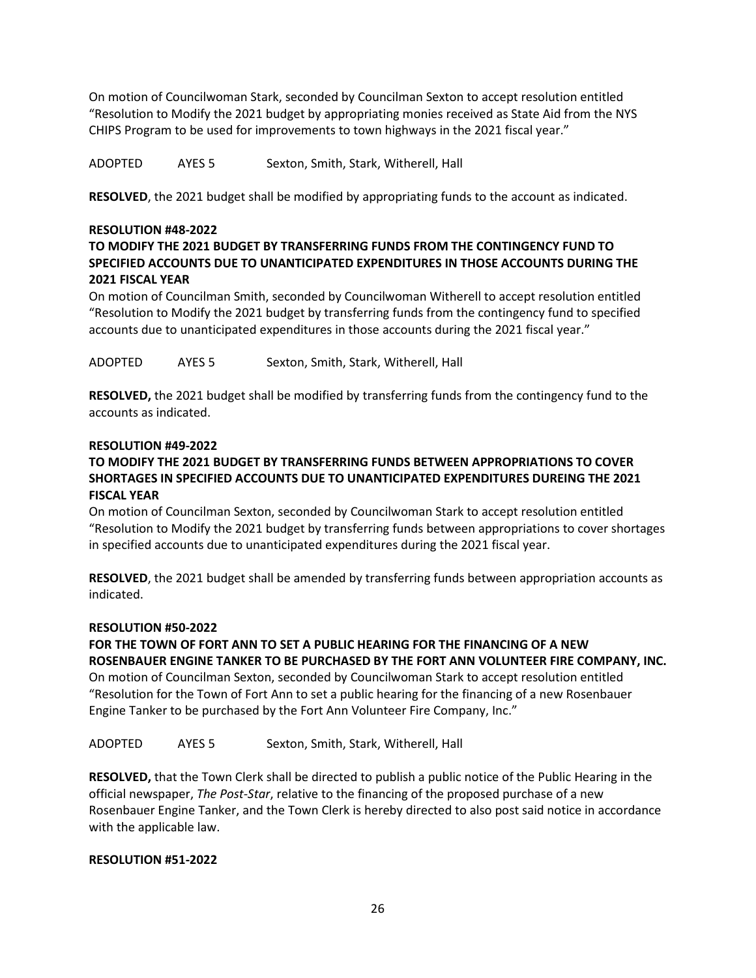On motion of Councilwoman Stark, seconded by Councilman Sexton to accept resolution entitled "Resolution to Modify the 2021 budget by appropriating monies received as State Aid from the NYS CHIPS Program to be used for improvements to town highways in the 2021 fiscal year."

ADOPTED AYES 5 Sexton, Smith, Stark, Witherell, Hall

**RESOLVED**, the 2021 budget shall be modified by appropriating funds to the account as indicated.

### **RESOLUTION #48-2022**

# **TO MODIFY THE 2021 BUDGET BY TRANSFERRING FUNDS FROM THE CONTINGENCY FUND TO SPECIFIED ACCOUNTS DUE TO UNANTICIPATED EXPENDITURES IN THOSE ACCOUNTS DURING THE 2021 FISCAL YEAR**

On motion of Councilman Smith, seconded by Councilwoman Witherell to accept resolution entitled "Resolution to Modify the 2021 budget by transferring funds from the contingency fund to specified accounts due to unanticipated expenditures in those accounts during the 2021 fiscal year."

ADOPTED AYES 5 Sexton, Smith, Stark, Witherell, Hall

**RESOLVED,** the 2021 budget shall be modified by transferring funds from the contingency fund to the accounts as indicated.

### **RESOLUTION #49-2022**

# **TO MODIFY THE 2021 BUDGET BY TRANSFERRING FUNDS BETWEEN APPROPRIATIONS TO COVER SHORTAGES IN SPECIFIED ACCOUNTS DUE TO UNANTICIPATED EXPENDITURES DUREING THE 2021 FISCAL YEAR**

On motion of Councilman Sexton, seconded by Councilwoman Stark to accept resolution entitled "Resolution to Modify the 2021 budget by transferring funds between appropriations to cover shortages in specified accounts due to unanticipated expenditures during the 2021 fiscal year.

**RESOLVED**, the 2021 budget shall be amended by transferring funds between appropriation accounts as indicated.

### **RESOLUTION #50-2022**

# **FOR THE TOWN OF FORT ANN TO SET A PUBLIC HEARING FOR THE FINANCING OF A NEW ROSENBAUER ENGINE TANKER TO BE PURCHASED BY THE FORT ANN VOLUNTEER FIRE COMPANY, INC.**

On motion of Councilman Sexton, seconded by Councilwoman Stark to accept resolution entitled "Resolution for the Town of Fort Ann to set a public hearing for the financing of a new Rosenbauer Engine Tanker to be purchased by the Fort Ann Volunteer Fire Company, Inc."

ADOPTED AYES 5 Sexton, Smith, Stark, Witherell, Hall

**RESOLVED,** that the Town Clerk shall be directed to publish a public notice of the Public Hearing in the official newspaper, *The Post-Star*, relative to the financing of the proposed purchase of a new Rosenbauer Engine Tanker, and the Town Clerk is hereby directed to also post said notice in accordance with the applicable law.

### **RESOLUTION #51-2022**